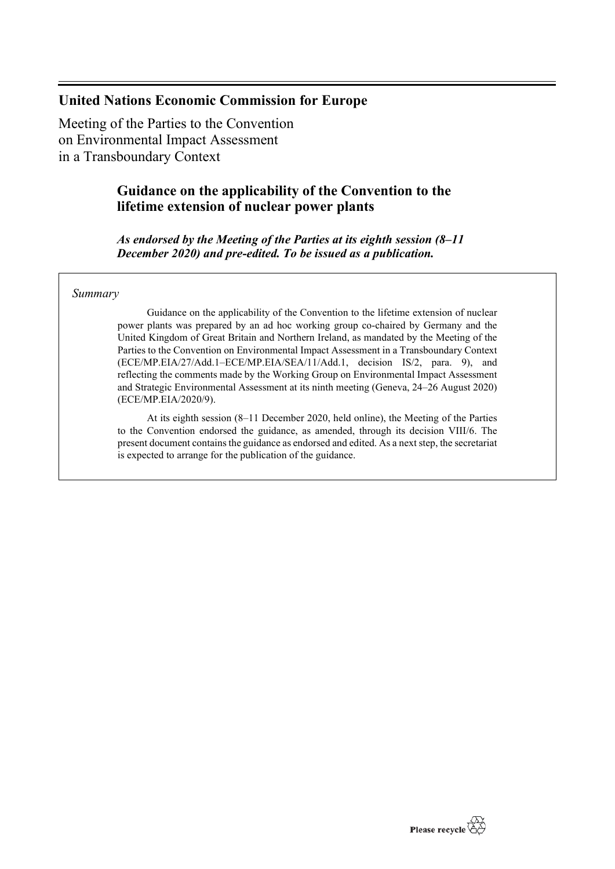# **United Nations Economic Commission for Europe**

Meeting of the Parties to the Convention on Environmental Impact Assessment in a Transboundary Context

# **Guidance on the applicability of the Convention to the lifetime extension of nuclear power plants**

*As endorsed by the Meeting of the Parties at its eighth session (8–11 December 2020) and pre-edited. To be issued as a publication.*

## *Summary*

Guidance on the applicability of the Convention to the lifetime extension of nuclear power plants was prepared by an ad hoc working group co-chaired by Germany and the United Kingdom of Great Britain and Northern Ireland, as mandated by the Meeting of the Parties to the Convention on Environmental Impact Assessment in a Transboundary Context (ECE/MP.EIA/27/Add.1–ECE/MP.EIA/SEA/11/Add.1, decision IS/2, para. 9), and reflecting the comments made by the Working Group on Environmental Impact Assessment and Strategic Environmental Assessment at its ninth meeting (Geneva, 24–26 August 2020) (ECE/MP.EIA/2020/9).

At its eighth session (8–11 December 2020, held online), the Meeting of the Parties to the Convention endorsed the guidance, as amended, through its decision VIII/6. The present document contains the guidance as endorsed and edited. As a next step, the secretariat is expected to arrange for the publication of the guidance.

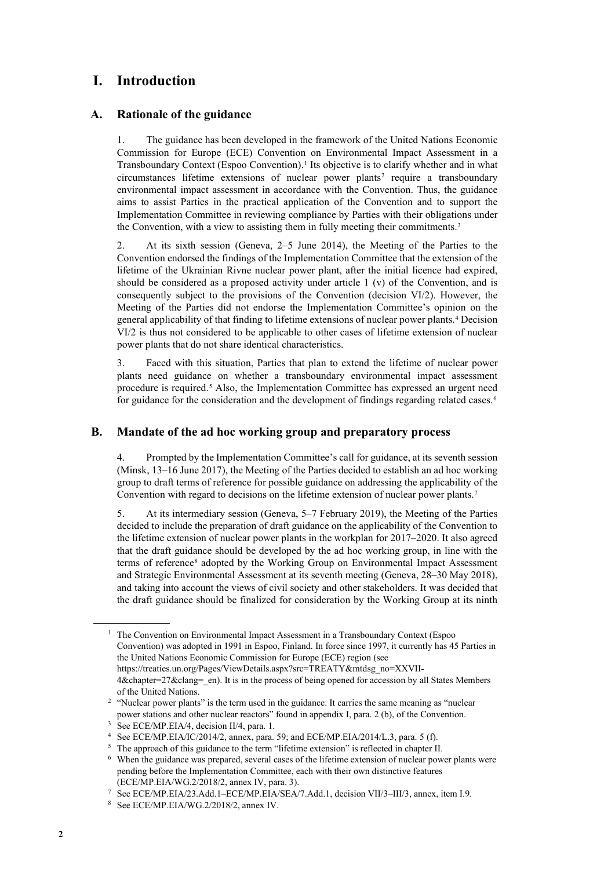# **I. Introduction**

## **A. Rationale of the guidance**

1. The guidance has been developed in the framework of the United Nations Economic Commission for Europe (ECE) Convention on Environmental Impact Assessment in a Transboundary Context (Espoo Convention).[1](#page-1-0) Its objective is to clarify whether and in what circumstances lifetime extensions of nuclear power plants<sup>[2](#page-1-1)</sup> require a transboundary environmental impact assessment in accordance with the Convention. Thus, the guidance aims to assist Parties in the practical application of the Convention and to support the Implementation Committee in reviewing compliance by Parties with their obligations under the Convention, with a view to assisting them in fully meeting their commitments.<sup>[3](#page-1-2)</sup>

2. At its sixth session (Geneva, 2–5 June 2014), the Meeting of the Parties to the Convention endorsed the findings of the Implementation Committee that the extension of the lifetime of the Ukrainian Rivne nuclear power plant, after the initial licence had expired, should be considered as a proposed activity under article  $1$  (v) of the Convention, and is consequently subject to the provisions of the Convention (decision VI/2). However, the Meeting of the Parties did not endorse the Implementation Committee's opinion on the general applicability of that finding to lifetime extensions of nuclear power plants.[4](#page-1-3) Decision VI/2 is thus not considered to be applicable to other cases of lifetime extension of nuclear power plants that do not share identical characteristics.

3. Faced with this situation, Parties that plan to extend the lifetime of nuclear power plants need guidance on whether a transboundary environmental impact assessment procedure is required.<sup>[5](#page-1-4)</sup> Also, the Implementation Committee has expressed an urgent need for guidance for the consideration and the development of findings regarding related cases.<sup>[6](#page-1-5)</sup>

## **B. Mandate of the ad hoc working group and preparatory process**

4. Prompted by the Implementation Committee's call for guidance, at its seventh session (Minsk, 13–16 June 2017), the Meeting of the Parties decided to establish an ad hoc working group to draft terms of reference for possible guidance on addressing the applicability of the Convention with regard to decisions on the lifetime extension of nuclear power plants.<sup>[7](#page-1-6)</sup>

5. At its intermediary session (Geneva, 5–7 February 2019), the Meeting of the Parties decided to include the preparation of draft guidance on the applicability of the Convention to the lifetime extension of nuclear power plants in the workplan for 2017–2020. It also agreed that the draft guidance should be developed by the ad hoc working group, in line with the terms of reference<sup>[8](#page-1-7)</sup> adopted by the Working Group on Environmental Impact Assessment and Strategic Environmental Assessment at its seventh meeting (Geneva, 28–30 May 2018), and taking into account the views of civil society and other stakeholders. It was decided that the draft guidance should be finalized for consideration by the Working Group at its ninth

<span id="page-1-0"></span> $1$  The Convention on Environmental Impact Assessment in a Transboundary Context (Espoo Convention) was adopted in 1991 in Espoo, Finland. In force since 1997, it currently has 45 Parties in the United Nations Economic Commission for Europe (ECE) region (see https://treaties.un.org/Pages/ViewDetails.aspx?src=TREATY&mtdsg\_no=XXVII-4&chapter=27&clang=\_en). It is in the process of being opened for accession by all States Members of the United Nations.

<span id="page-1-1"></span><sup>&</sup>lt;sup>2</sup> "Nuclear power plants" is the term used in the guidance. It carries the same meaning as "nuclear power stations and other nuclear reactors" found in appendix I, para. 2 (b), of the Convention.

<span id="page-1-2"></span><sup>&</sup>lt;sup>3</sup> See ECE/MP.EIA/4, decision II/4, para. 1.

<span id="page-1-3"></span><sup>4</sup> See ECE/MP.EIA/IC/2014/2, annex, para. 59; and ECE/MP.EIA/2014/L.3, para. 5 (f).

<span id="page-1-4"></span><sup>&</sup>lt;sup>5</sup> The approach of this guidance to the term "lifetime extension" is reflected in chapter II.

<span id="page-1-5"></span><sup>6</sup> When the guidance was prepared, several cases of the lifetime extension of nuclear power plants were pending before the Implementation Committee, each with their own distinctive features (ECE/MP.EIA/WG.2/2018/2, annex IV, para. 3).

<span id="page-1-7"></span><span id="page-1-6"></span><sup>7</sup> See ECE/MP.EIA/23.Add.1–ECE/MP.EIA/SEA/7.Add.1, decision VII/3–III/3, annex, item I.9.

<sup>8</sup> See ECE/MP.EIA/WG.2/2018/2, annex IV.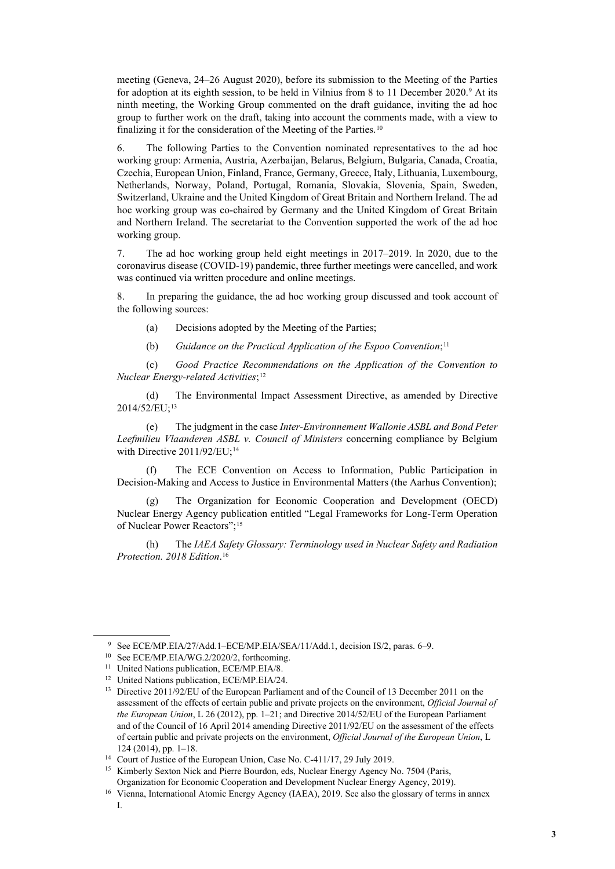meeting (Geneva, 24–26 August 2020), before its submission to the Meeting of the Parties for adoption at its eighth session, to be held in Vilnius from 8 to 11 December 2020.<sup>[9](#page-2-0)</sup> At its ninth meeting, the Working Group commented on the draft guidance, inviting the ad hoc group to further work on the draft, taking into account the comments made, with a view to finalizing it for the consideration of the Meeting of the Parties.<sup>[10](#page-2-1)</sup>

6. The following Parties to the Convention nominated representatives to the ad hoc working group: Armenia, Austria, Azerbaijan, Belarus, Belgium, Bulgaria, Canada, Croatia, Czechia, European Union, Finland, France, Germany, Greece, Italy, Lithuania, Luxembourg, Netherlands, Norway, Poland, Portugal, Romania, Slovakia, Slovenia, Spain, Sweden, Switzerland, Ukraine and the United Kingdom of Great Britain and Northern Ireland. The ad hoc working group was co-chaired by Germany and the United Kingdom of Great Britain and Northern Ireland. The secretariat to the Convention supported the work of the ad hoc working group.

7. The ad hoc working group held eight meetings in 2017–2019. In 2020, due to the coronavirus disease (COVID-19) pandemic, three further meetings were cancelled, and work was continued via written procedure and online meetings.

8. In preparing the guidance, the ad hoc working group discussed and took account of the following sources:

- (a) Decisions adopted by the Meeting of the Parties;
- (b) *Guidance on the Practical Application of the Espoo Convention*;[11](#page-2-2)

(c) *Good Practice Recommendations on the Application of the Convention to Nuclear Energy-related Activities*;[12](#page-2-3)

(d) The Environmental Impact Assessment Directive, as amended by Directive 2014/52/EU[;13](#page-2-4)

(e) The judgment in the case *Inter-Environnement Wallonie ASBL and Bond Peter Leefmilieu Vlaanderen ASBL v. Council of Ministers* concerning compliance by Belgium with Directive 2011/92/EU;<sup>14</sup>

(f) The ECE Convention on Access to Information, Public Participation in Decision-Making and Access to Justice in Environmental Matters (the Aarhus Convention);

The Organization for Economic Cooperation and Development (OECD) Nuclear Energy Agency publication entitled "Legal Frameworks for Long-Term Operation of Nuclear Power Reactors";[15](#page-2-6)

(h) The *IAEA Safety Glossary: Terminology used in Nuclear Safety and Radiation Protection. 2018 Edition*. [16](#page-2-7)

<sup>9</sup> See ECE/MP.EIA/27/Add.1–ECE/MP.EIA/SEA/11/Add.1, decision IS/2, paras. 6–9.

<span id="page-2-1"></span><span id="page-2-0"></span><sup>&</sup>lt;sup>10</sup> See ECE/MP.EIA/WG.2/2020/2, forthcoming.

<span id="page-2-2"></span><sup>&</sup>lt;sup>11</sup> United Nations publication, ECE/MP.EIA/8.

<span id="page-2-4"></span><span id="page-2-3"></span><sup>&</sup>lt;sup>12</sup> United Nations publication, ECE/MP.EIA/24.<br><sup>13</sup> Directive 2011/92/EU of the European Parliament and of the Council of 13 December 2011 on the assessment of the effects of certain public and private projects on the environment, *Official Journal of the European Union*, L 26 (2012), pp. 1–21; and Directive 2014/52/EU of the European Parliament and of the Council of 16 April 2014 amending Directive 2011/92/EU on the assessment of the effects of certain public and private projects on the environment, *Official Journal of the European Union*, L 124 (2014), pp. 1–18.<br><sup>14</sup> Court of Justice of the European Union, Case No. C-411/17, 29 July 2019.

<span id="page-2-5"></span>

<span id="page-2-6"></span><sup>&</sup>lt;sup>15</sup> Kimberly Sexton Nick and Pierre Bourdon, eds, Nuclear Energy Agency No. 7504 (Paris,

<span id="page-2-7"></span>Organization for Economic Cooperation and Development Nuclear Energy Agency, 2019). 16 Vienna, International Atomic Energy Agency (IAEA), 2019. See also the glossary of terms in annex I.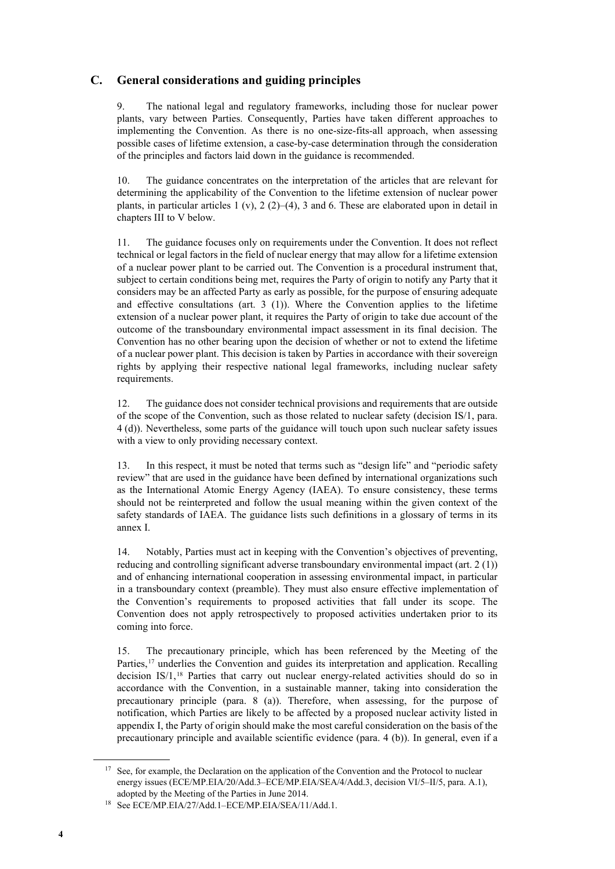## **C. General considerations and guiding principles**

9. The national legal and regulatory frameworks, including those for nuclear power plants, vary between Parties. Consequently, Parties have taken different approaches to implementing the Convention. As there is no one-size-fits-all approach, when assessing possible cases of lifetime extension, a case-by-case determination through the consideration of the principles and factors laid down in the guidance is recommended.

10. The guidance concentrates on the interpretation of the articles that are relevant for determining the applicability of the Convention to the lifetime extension of nuclear power plants, in particular articles 1 (v), 2 (2)–(4), 3 and 6. These are elaborated upon in detail in chapters III to V below.

11. The guidance focuses only on requirements under the Convention. It does not reflect technical or legal factors in the field of nuclear energy that may allow for a lifetime extension of a nuclear power plant to be carried out. The Convention is a procedural instrument that, subject to certain conditions being met, requires the Party of origin to notify any Party that it considers may be an affected Party as early as possible, for the purpose of ensuring adequate and effective consultations (art. 3 (1)). Where the Convention applies to the lifetime extension of a nuclear power plant, it requires the Party of origin to take due account of the outcome of the transboundary environmental impact assessment in its final decision. The Convention has no other bearing upon the decision of whether or not to extend the lifetime of a nuclear power plant. This decision is taken by Parties in accordance with their sovereign rights by applying their respective national legal frameworks, including nuclear safety requirements.

12. The guidance does not consider technical provisions and requirements that are outside of the scope of the Convention, such as those related to nuclear safety (decision IS/1, para. 4 (d)). Nevertheless, some parts of the guidance will touch upon such nuclear safety issues with a view to only providing necessary context.

13. In this respect, it must be noted that terms such as "design life" and "periodic safety review" that are used in the guidance have been defined by international organizations such as the International Atomic Energy Agency (IAEA). To ensure consistency, these terms should not be reinterpreted and follow the usual meaning within the given context of the safety standards of IAEA. The guidance lists such definitions in a glossary of terms in its annex I.

14. Notably, Parties must act in keeping with the Convention's objectives of preventing, reducing and controlling significant adverse transboundary environmental impact (art. 2 (1)) and of enhancing international cooperation in assessing environmental impact, in particular in a transboundary context (preamble). They must also ensure effective implementation of the Convention's requirements to proposed activities that fall under its scope. The Convention does not apply retrospectively to proposed activities undertaken prior to its coming into force.

15. The precautionary principle, which has been referenced by the Meeting of the Parties,<sup>[17](#page-3-0)</sup> underlies the Convention and guides its interpretation and application. Recalling decision IS/1,<sup>[18](#page-3-1)</sup> Parties that carry out nuclear energy-related activities should do so in accordance with the Convention, in a sustainable manner, taking into consideration the precautionary principle (para. 8 (a)). Therefore, when assessing, for the purpose of notification, which Parties are likely to be affected by a proposed nuclear activity listed in appendix I, the Party of origin should make the most careful consideration on the basis of the precautionary principle and available scientific evidence (para. 4 (b)). In general, even if a

<span id="page-3-0"></span><sup>&</sup>lt;sup>17</sup> See, for example, the Declaration on the application of the Convention and the Protocol to nuclear energy issues (ECE/MP.EIA/20/Add.3–ECE/MP.EIA/SEA/4/Add.3, decision VI/5–II/5, para. A.1),

<span id="page-3-1"></span>adopted by the Meeting of the Parties in June 2014.<br><sup>18</sup> See ECE/MP.EIA/27/Add.1–ECE/MP.EIA/SEA/11/Add.1.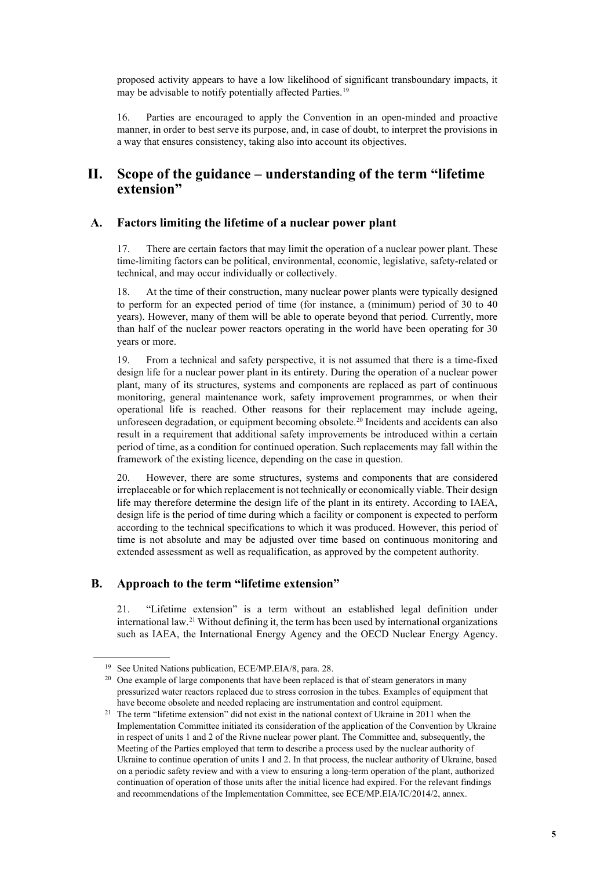proposed activity appears to have a low likelihood of significant transboundary impacts, it may be advisable to notify potentially affected Parties.<sup>[19](#page-4-0)</sup>

16. Parties are encouraged to apply the Convention in an open-minded and proactive manner, in order to best serve its purpose, and, in case of doubt, to interpret the provisions in a way that ensures consistency, taking also into account its objectives.

## **II. Scope of the guidance – understanding of the term "lifetime extension"**

### **A. Factors limiting the lifetime of a nuclear power plant**

17. There are certain factors that may limit the operation of a nuclear power plant. These time-limiting factors can be political, environmental, economic, legislative, safety-related or technical, and may occur individually or collectively.

18. At the time of their construction, many nuclear power plants were typically designed to perform for an expected period of time (for instance, a (minimum) period of 30 to 40 years). However, many of them will be able to operate beyond that period. Currently, more than half of the nuclear power reactors operating in the world have been operating for 30 years or more.

19. From a technical and safety perspective, it is not assumed that there is a time-fixed design life for a nuclear power plant in its entirety. During the operation of a nuclear power plant, many of its structures, systems and components are replaced as part of continuous monitoring, general maintenance work, safety improvement programmes, or when their operational life is reached. Other reasons for their replacement may include ageing, unforeseen degradation, or equipment becoming obsolete.<sup>[20](#page-4-1)</sup> Incidents and accidents can also result in a requirement that additional safety improvements be introduced within a certain period of time, as a condition for continued operation. Such replacements may fall within the framework of the existing licence, depending on the case in question.

20. However, there are some structures, systems and components that are considered irreplaceable or for which replacement is not technically or economically viable. Their design life may therefore determine the design life of the plant in its entirety. According to IAEA, design life is the period of time during which a facility or component is expected to perform according to the technical specifications to which it was produced. However, this period of time is not absolute and may be adjusted over time based on continuous monitoring and extended assessment as well as requalification, as approved by the competent authority.

## **B. Approach to the term "lifetime extension"**

21. "Lifetime extension" is a term without an established legal definition under international law.[21](#page-4-2) Without defining it, the term has been used by international organizations such as IAEA, the International Energy Agency and the OECD Nuclear Energy Agency.

<span id="page-4-1"></span><span id="page-4-0"></span>

<sup>&</sup>lt;sup>19</sup> See United Nations publication, ECE/MP.EIA/8, para. 28.<br><sup>20</sup> One example of large components that have been replaced is that of steam generators in many pressurized water reactors replaced due to stress corrosion in the tubes. Examples of equipment that have become obsolete and needed replacing are instrumentation and control equipment.

<span id="page-4-2"></span><sup>&</sup>lt;sup>21</sup> The term "lifetime extension" did not exist in the national context of Ukraine in 2011 when the Implementation Committee initiated its consideration of the application of the Convention by Ukraine in respect of units 1 and 2 of the Rivne nuclear power plant. The Committee and, subsequently, the Meeting of the Parties employed that term to describe a process used by the nuclear authority of Ukraine to continue operation of units 1 and 2. In that process, the nuclear authority of Ukraine, based on a periodic safety review and with a view to ensuring a long-term operation of the plant, authorized continuation of operation of those units after the initial licence had expired. For the relevant findings and recommendations of the Implementation Committee, see ECE/MP.EIA/IC/2014/2, annex.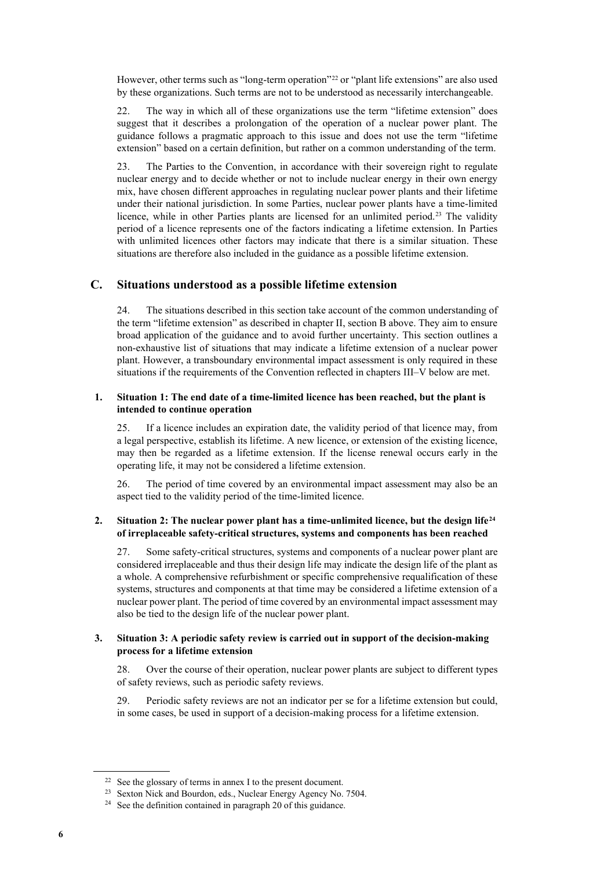However, other terms such as "long-term operation"<sup>[22](#page-5-0)</sup> or "plant life extensions" are also used by these organizations. Such terms are not to be understood as necessarily interchangeable.

22. The way in which all of these organizations use the term "lifetime extension" does suggest that it describes a prolongation of the operation of a nuclear power plant. The guidance follows a pragmatic approach to this issue and does not use the term "lifetime extension" based on a certain definition, but rather on a common understanding of the term.

23. The Parties to the Convention, in accordance with their sovereign right to regulate nuclear energy and to decide whether or not to include nuclear energy in their own energy mix, have chosen different approaches in regulating nuclear power plants and their lifetime under their national jurisdiction. In some Parties, nuclear power plants have a time-limited licence, while in other Parties plants are licensed for an unlimited period.<sup>[23](#page-5-1)</sup> The validity period of a licence represents one of the factors indicating a lifetime extension. In Parties with unlimited licences other factors may indicate that there is a similar situation. These situations are therefore also included in the guidance as a possible lifetime extension.

## **C. Situations understood as a possible lifetime extension**

24. The situations described in this section take account of the common understanding of the term "lifetime extension" as described in chapter II, section B above. They aim to ensure broad application of the guidance and to avoid further uncertainty. This section outlines a non-exhaustive list of situations that may indicate a lifetime extension of a nuclear power plant. However, a transboundary environmental impact assessment is only required in these situations if the requirements of the Convention reflected in chapters III–V below are met.

### **1. Situation 1: The end date of a time-limited licence has been reached, but the plant is intended to continue operation**

25. If a licence includes an expiration date, the validity period of that licence may, from a legal perspective, establish its lifetime. A new licence, or extension of the existing licence, may then be regarded as a lifetime extension. If the license renewal occurs early in the operating life, it may not be considered a lifetime extension.

26. The period of time covered by an environmental impact assessment may also be an aspect tied to the validity period of the time-limited licence.

### **2. Situation 2: The nuclear power plant has a time-unlimited licence, but the design life[24](#page-5-2) of irreplaceable safety-critical structures, systems and components has been reached**

27. Some safety-critical structures, systems and components of a nuclear power plant are considered irreplaceable and thus their design life may indicate the design life of the plant as a whole. A comprehensive refurbishment or specific comprehensive requalification of these systems, structures and components at that time may be considered a lifetime extension of a nuclear power plant. The period of time covered by an environmental impact assessment may also be tied to the design life of the nuclear power plant.

### **3. Situation 3: A periodic safety review is carried out in support of the decision-making process for a lifetime extension**

28. Over the course of their operation, nuclear power plants are subject to different types of safety reviews, such as periodic safety reviews.

29. Periodic safety reviews are not an indicator per se for a lifetime extension but could, in some cases, be used in support of a decision-making process for a lifetime extension.

<span id="page-5-0"></span> $22$  See the glossary of terms in annex I to the present document.

<span id="page-5-2"></span><span id="page-5-1"></span><sup>23</sup> Sexton Nick and Bourdon, eds., Nuclear Energy Agency No. 7504.

<sup>&</sup>lt;sup>24</sup> See the definition contained in paragraph 20 of this guidance.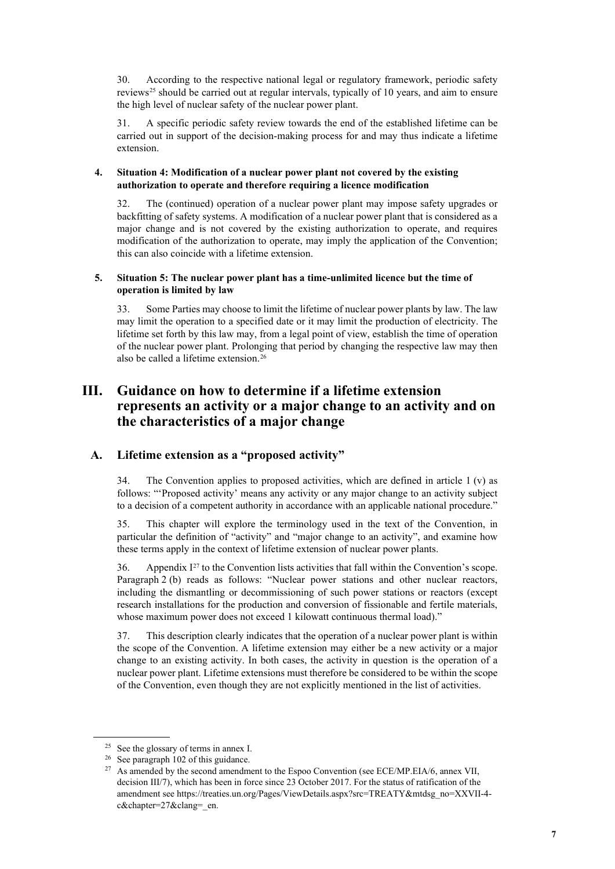30. According to the respective national legal or regulatory framework, periodic safety reviews<sup>[25](#page-6-0)</sup> should be carried out at regular intervals, typically of 10 years, and aim to ensure the high level of nuclear safety of the nuclear power plant.

31. A specific periodic safety review towards the end of the established lifetime can be carried out in support of the decision-making process for and may thus indicate a lifetime extension.

### **4. Situation 4: Modification of a nuclear power plant not covered by the existing authorization to operate and therefore requiring a licence modification**

32. The (continued) operation of a nuclear power plant may impose safety upgrades or backfitting of safety systems. A modification of a nuclear power plant that is considered as a major change and is not covered by the existing authorization to operate, and requires modification of the authorization to operate, may imply the application of the Convention; this can also coincide with a lifetime extension.

### **5. Situation 5: The nuclear power plant has a time-unlimited licence but the time of operation is limited by law**

33. Some Parties may choose to limit the lifetime of nuclear power plants by law. The law may limit the operation to a specified date or it may limit the production of electricity. The lifetime set forth by this law may, from a legal point of view, establish the time of operation of the nuclear power plant. Prolonging that period by changing the respective law may then also be called a lifetime extension. [26](#page-6-1)

# **III. Guidance on how to determine if a lifetime extension represents an activity or a major change to an activity and on the characteristics of a major change**

## **A. Lifetime extension as a "proposed activity"**

34. The Convention applies to proposed activities, which are defined in article  $1(v)$  as follows: "'Proposed activity' means any activity or any major change to an activity subject to a decision of a competent authority in accordance with an applicable national procedure."

35. This chapter will explore the terminology used in the text of the Convention, in particular the definition of "activity" and "major change to an activity", and examine how these terms apply in the context of lifetime extension of nuclear power plants.

36. Appendix  $I^{27}$  $I^{27}$  $I^{27}$  to the Convention lists activities that fall within the Convention's scope. Paragraph 2 (b) reads as follows: "Nuclear power stations and other nuclear reactors, including the dismantling or decommissioning of such power stations or reactors (except research installations for the production and conversion of fissionable and fertile materials, whose maximum power does not exceed 1 kilowatt continuous thermal load)."

37. This description clearly indicates that the operation of a nuclear power plant is within the scope of the Convention. A lifetime extension may either be a new activity or a major change to an existing activity. In both cases, the activity in question is the operation of a nuclear power plant. Lifetime extensions must therefore be considered to be within the scope of the Convention, even though they are not explicitly mentioned in the list of activities.

<sup>25</sup> See the glossary of terms in annex I.

<span id="page-6-1"></span><span id="page-6-0"></span><sup>26</sup> See paragraph 102 of this guidance.

<span id="page-6-2"></span><sup>&</sup>lt;sup>27</sup> As amended by the second amendment to the Espoo Convention (see ECE/MP.EIA/6, annex VII, decision III/7), which has been in force since 23 October 2017. For the status of ratification of the amendment see https://treaties.un.org/Pages/ViewDetails.aspx?src=TREATY&mtdsg\_no=XXVII-4 c&chapter=27&clang= en.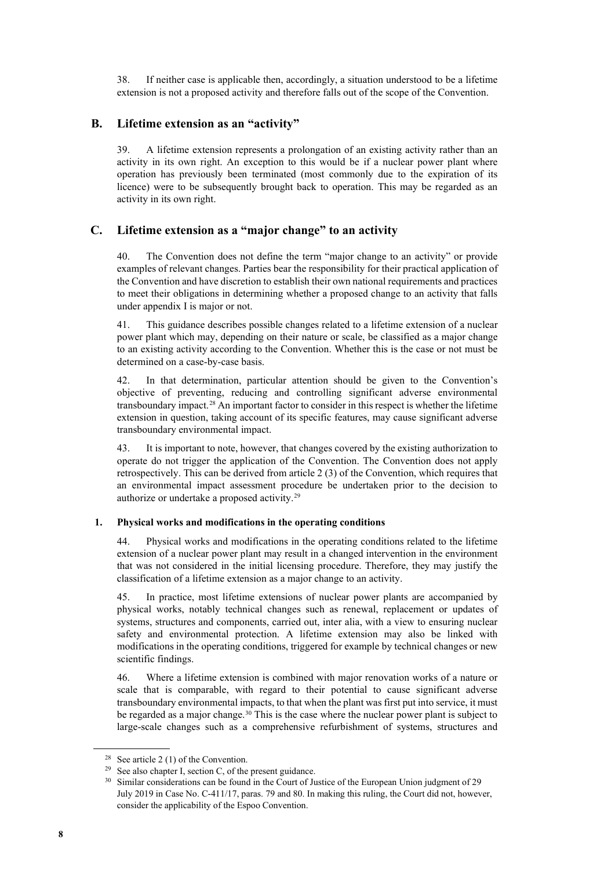38. If neither case is applicable then, accordingly, a situation understood to be a lifetime extension is not a proposed activity and therefore falls out of the scope of the Convention.

## **B. Lifetime extension as an "activity"**

39. A lifetime extension represents a prolongation of an existing activity rather than an activity in its own right. An exception to this would be if a nuclear power plant where operation has previously been terminated (most commonly due to the expiration of its licence) were to be subsequently brought back to operation. This may be regarded as an activity in its own right.

## **C. Lifetime extension as a "major change" to an activity**

40. The Convention does not define the term "major change to an activity" or provide examples of relevant changes. Parties bear the responsibility for their practical application of the Convention and have discretion to establish their own national requirements and practices to meet their obligations in determining whether a proposed change to an activity that falls under appendix I is major or not.

41. This guidance describes possible changes related to a lifetime extension of a nuclear power plant which may, depending on their nature or scale, be classified as a major change to an existing activity according to the Convention. Whether this is the case or not must be determined on a case-by-case basis.

42. In that determination, particular attention should be given to the Convention's objective of preventing, reducing and controlling significant adverse environmental transboundary impact.[28](#page-7-0) An important factor to consider in this respect is whether the lifetime extension in question, taking account of its specific features, may cause significant adverse transboundary environmental impact.

43. It is important to note, however, that changes covered by the existing authorization to operate do not trigger the application of the Convention. The Convention does not apply retrospectively. This can be derived from article 2 (3) of the Convention, which requires that an environmental impact assessment procedure be undertaken prior to the decision to authorize or undertake a proposed activity.[29](#page-7-1)

### **1. Physical works and modifications in the operating conditions**

44. Physical works and modifications in the operating conditions related to the lifetime extension of a nuclear power plant may result in a changed intervention in the environment that was not considered in the initial licensing procedure. Therefore, they may justify the classification of a lifetime extension as a major change to an activity.

45. In practice, most lifetime extensions of nuclear power plants are accompanied by physical works, notably technical changes such as renewal, replacement or updates of systems, structures and components, carried out, inter alia, with a view to ensuring nuclear safety and environmental protection. A lifetime extension may also be linked with modifications in the operating conditions, triggered for example by technical changes or new scientific findings.

46. Where a lifetime extension is combined with major renovation works of a nature or scale that is comparable, with regard to their potential to cause significant adverse transboundary environmental impacts, to that when the plant was first put into service, it must be regarded as a major change.<sup>[30](#page-7-2)</sup> This is the case where the nuclear power plant is subject to large-scale changes such as a comprehensive refurbishment of systems, structures and

<sup>&</sup>lt;sup>28</sup> See article 2 (1) of the Convention.

<span id="page-7-2"></span><span id="page-7-1"></span><span id="page-7-0"></span><sup>&</sup>lt;sup>29</sup> See also chapter I, section C, of the present guidance.

<sup>&</sup>lt;sup>30</sup> Similar considerations can be found in the Court of Justice of the European Union judgment of 29 July 2019 in Case No. C-411/17, paras. 79 and 80. In making this ruling, the Court did not, however, consider the applicability of the Espoo Convention.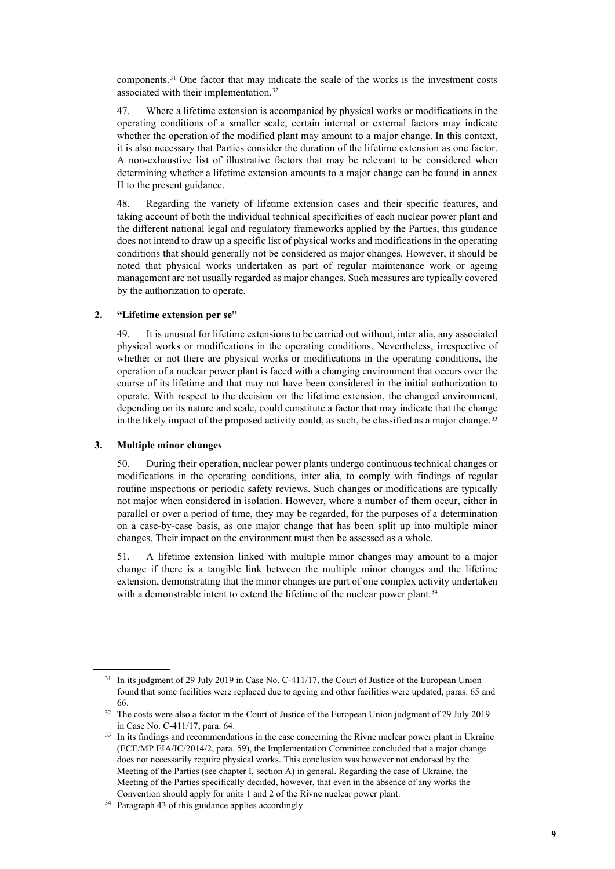components.[31](#page-8-0) One factor that may indicate the scale of the works is the investment costs associated with their implementation.[32](#page-8-1)

47. Where a lifetime extension is accompanied by physical works or modifications in the operating conditions of a smaller scale, certain internal or external factors may indicate whether the operation of the modified plant may amount to a major change. In this context, it is also necessary that Parties consider the duration of the lifetime extension as one factor. A non-exhaustive list of illustrative factors that may be relevant to be considered when determining whether a lifetime extension amounts to a major change can be found in annex II to the present guidance.

48. Regarding the variety of lifetime extension cases and their specific features, and taking account of both the individual technical specificities of each nuclear power plant and the different national legal and regulatory frameworks applied by the Parties, this guidance does not intend to draw up a specific list of physical works and modifications in the operating conditions that should generally not be considered as major changes. However, it should be noted that physical works undertaken as part of regular maintenance work or ageing management are not usually regarded as major changes. Such measures are typically covered by the authorization to operate.

#### **2. "Lifetime extension per se"**

49. It is unusual for lifetime extensions to be carried out without, inter alia, any associated physical works or modifications in the operating conditions. Nevertheless, irrespective of whether or not there are physical works or modifications in the operating conditions, the operation of a nuclear power plant is faced with a changing environment that occurs over the course of its lifetime and that may not have been considered in the initial authorization to operate. With respect to the decision on the lifetime extension, the changed environment, depending on its nature and scale, could constitute a factor that may indicate that the change in the likely impact of the proposed activity could, as such, be classified as a major change.<sup>[33](#page-8-2)</sup>

#### **3. Multiple minor changes**

50. During their operation, nuclear power plants undergo continuous technical changes or modifications in the operating conditions, inter alia, to comply with findings of regular routine inspections or periodic safety reviews. Such changes or modifications are typically not major when considered in isolation. However, where a number of them occur, either in parallel or over a period of time, they may be regarded, for the purposes of a determination on a case-by-case basis, as one major change that has been split up into multiple minor changes. Their impact on the environment must then be assessed as a whole.

51. A lifetime extension linked with multiple minor changes may amount to a major change if there is a tangible link between the multiple minor changes and the lifetime extension, demonstrating that the minor changes are part of one complex activity undertaken with a demonstrable intent to extend the lifetime of the nuclear power plant.<sup>[34](#page-8-3)</sup>

<span id="page-8-0"></span><sup>&</sup>lt;sup>31</sup> In its judgment of 29 July 2019 in Case No. C-411/17, the Court of Justice of the European Union found that some facilities were replaced due to ageing and other facilities were updated, paras. 65 and

<span id="page-8-1"></span><sup>66. 32</sup> The costs were also a factor in the Court of Justice of the European Union judgment of 29 July 2019 in Case No. C-411/17, para. 64.

<span id="page-8-2"></span><sup>&</sup>lt;sup>33</sup> In its findings and recommendations in the case concerning the Rivne nuclear power plant in Ukraine (ECE/MP.EIA/IC/2014/2, para. 59), the Implementation Committee concluded that a major change does not necessarily require physical works. This conclusion was however not endorsed by the Meeting of the Parties (see chapter I, section A) in general. Regarding the case of Ukraine, the Meeting of the Parties specifically decided, however, that even in the absence of any works the Convention should apply for units 1 and 2 of the Rivne nuclear power plant.

<span id="page-8-3"></span><sup>34</sup> Paragraph 43 of this guidance applies accordingly.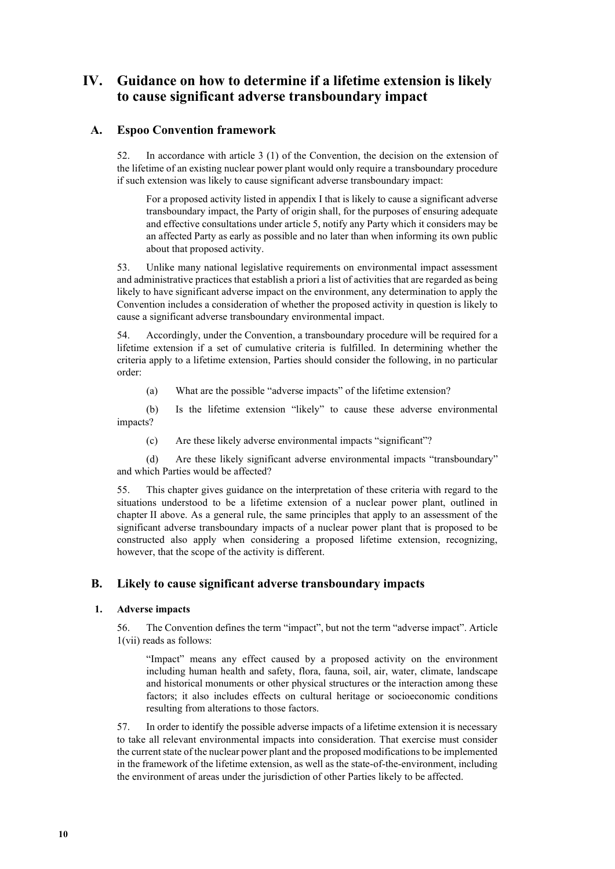# **IV. Guidance on how to determine if a lifetime extension is likely to cause significant adverse transboundary impact**

## **A. Espoo Convention framework**

52. In accordance with article 3 (1) of the Convention, the decision on the extension of the lifetime of an existing nuclear power plant would only require a transboundary procedure if such extension was likely to cause significant adverse transboundary impact:

For a proposed activity listed in appendix I that is likely to cause a significant adverse transboundary impact, the Party of origin shall, for the purposes of ensuring adequate and effective consultations under article 5, notify any Party which it considers may be an affected Party as early as possible and no later than when informing its own public about that proposed activity.

53. Unlike many national legislative requirements on environmental impact assessment and administrative practices that establish a priori a list of activities that are regarded as being likely to have significant adverse impact on the environment, any determination to apply the Convention includes a consideration of whether the proposed activity in question is likely to cause a significant adverse transboundary environmental impact.

54. Accordingly, under the Convention, a transboundary procedure will be required for a lifetime extension if a set of cumulative criteria is fulfilled. In determining whether the criteria apply to a lifetime extension, Parties should consider the following, in no particular order:

(a) What are the possible "adverse impacts" of the lifetime extension?

(b) Is the lifetime extension "likely" to cause these adverse environmental impacts?

(c) Are these likely adverse environmental impacts "significant"?

(d) Are these likely significant adverse environmental impacts "transboundary" and which Parties would be affected?

55. This chapter gives guidance on the interpretation of these criteria with regard to the situations understood to be a lifetime extension of a nuclear power plant, outlined in chapter II above. As a general rule, the same principles that apply to an assessment of the significant adverse transboundary impacts of a nuclear power plant that is proposed to be constructed also apply when considering a proposed lifetime extension, recognizing, however, that the scope of the activity is different.

## **B. Likely to cause significant adverse transboundary impacts**

### **1. Adverse impacts**

56. The Convention defines the term "impact", but not the term "adverse impact". Article 1(vii) reads as follows:

"Impact" means any effect caused by a proposed activity on the environment including human health and safety, flora, fauna, soil, air, water, climate, landscape and historical monuments or other physical structures or the interaction among these factors; it also includes effects on cultural heritage or socioeconomic conditions resulting from alterations to those factors.

57. In order to identify the possible adverse impacts of a lifetime extension it is necessary to take all relevant environmental impacts into consideration. That exercise must consider the current state of the nuclear power plant and the proposed modifications to be implemented in the framework of the lifetime extension, as well as the state-of-the-environment, including the environment of areas under the jurisdiction of other Parties likely to be affected.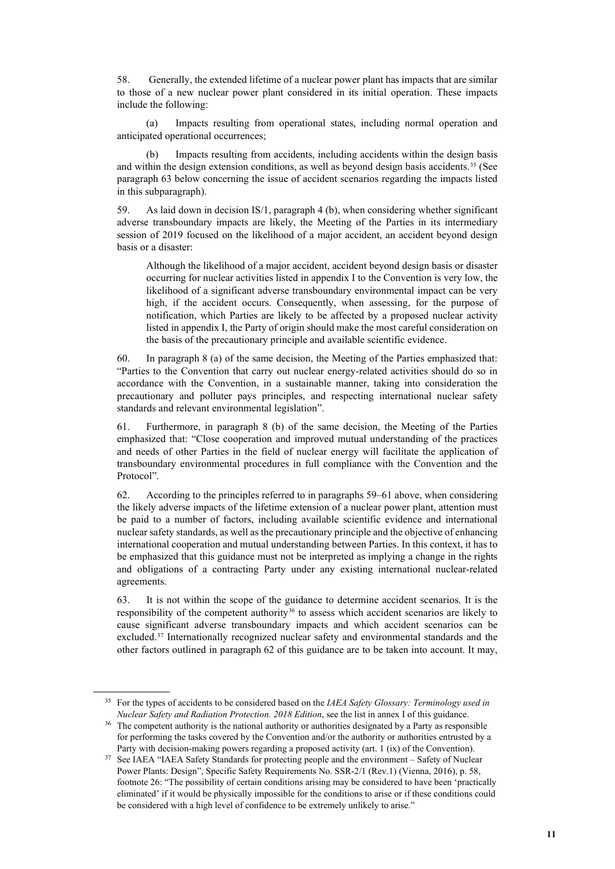58. Generally, the extended lifetime of a nuclear power plant has impacts that are similar to those of a new nuclear power plant considered in its initial operation. These impacts include the following:

(a) Impacts resulting from operational states, including normal operation and anticipated operational occurrences;

(b) Impacts resulting from accidents, including accidents within the design basis and within the design extension conditions, as well as beyond design basis accidents.[35](#page-10-0) (See paragraph 63 below concerning the issue of accident scenarios regarding the impacts listed in this subparagraph).

59. As laid down in decision IS/1, paragraph 4 (b), when considering whether significant adverse transboundary impacts are likely, the Meeting of the Parties in its intermediary session of 2019 focused on the likelihood of a major accident, an accident beyond design basis or a disaster:

Although the likelihood of a major accident, accident beyond design basis or disaster occurring for nuclear activities listed in appendix I to the Convention is very low, the likelihood of a significant adverse transboundary environmental impact can be very high, if the accident occurs. Consequently, when assessing, for the purpose of notification, which Parties are likely to be affected by a proposed nuclear activity listed in appendix I, the Party of origin should make the most careful consideration on the basis of the precautionary principle and available scientific evidence.

60. In paragraph 8 (a) of the same decision, the Meeting of the Parties emphasized that: "Parties to the Convention that carry out nuclear energy-related activities should do so in accordance with the Convention, in a sustainable manner, taking into consideration the precautionary and polluter pays principles, and respecting international nuclear safety standards and relevant environmental legislation".

61. Furthermore, in paragraph 8 (b) of the same decision, the Meeting of the Parties emphasized that: "Close cooperation and improved mutual understanding of the practices and needs of other Parties in the field of nuclear energy will facilitate the application of transboundary environmental procedures in full compliance with the Convention and the Protocol".

62. According to the principles referred to in paragraphs 59–61 above, when considering the likely adverse impacts of the lifetime extension of a nuclear power plant, attention must be paid to a number of factors, including available scientific evidence and international nuclear safety standards, as well as the precautionary principle and the objective of enhancing international cooperation and mutual understanding between Parties. In this context, it has to be emphasized that this guidance must not be interpreted as implying a change in the rights and obligations of a contracting Party under any existing international nuclear-related agreements.

63. It is not within the scope of the guidance to determine accident scenarios. It is the responsibility of the competent authority<sup>[36](#page-10-1)</sup> to assess which accident scenarios are likely to cause significant adverse transboundary impacts and which accident scenarios can be excluded.<sup>[37](#page-10-2)</sup> Internationally recognized nuclear safety and environmental standards and the other factors outlined in paragraph 62 of this guidance are to be taken into account. It may,

<span id="page-10-0"></span><sup>35</sup> For the types of accidents to be considered based on the *IAEA Safety Glossary: Terminology used in Nuclear Safety and Radiation Protection. 2018 Edition*, see the list in annex I of this guidance.

<span id="page-10-1"></span><sup>&</sup>lt;sup>36</sup> The competent authority is the national authority or authorities designated by a Party as responsible for performing the tasks covered by the Convention and/or the authority or authorities entrusted by a Party with decision-making powers regarding a proposed activity (art. 1 (ix) of the Convention).

<span id="page-10-2"></span><sup>&</sup>lt;sup>37</sup> See IAEA "IAEA Safety Standards for protecting people and the environment – Safety of Nuclear Power Plants: Design", Specific Safety Requirements No. SSR-2/1 (Rev.1) (Vienna, 2016), p. 58, footnote 26: "The possibility of certain conditions arising may be considered to have been 'practically eliminated' if it would be physically impossible for the conditions to arise or if these conditions could be considered with a high level of confidence to be extremely unlikely to arise."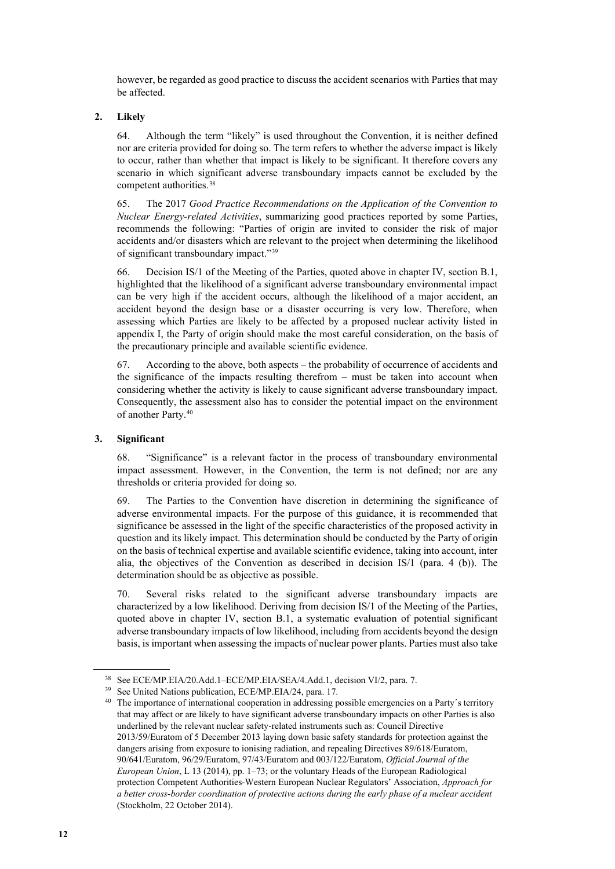however, be regarded as good practice to discuss the accident scenarios with Parties that may be affected.

### **2. Likely**

64. Although the term "likely" is used throughout the Convention, it is neither defined nor are criteria provided for doing so. The term refers to whether the adverse impact is likely to occur, rather than whether that impact is likely to be significant. It therefore covers any scenario in which significant adverse transboundary impacts cannot be excluded by the competent authorities.[38](#page-11-0)

65. The 2017 *Good Practice Recommendations on the Application of the Convention to Nuclear Energy-related Activities*, summarizing good practices reported by some Parties, recommends the following: "Parties of origin are invited to consider the risk of major accidents and/or disasters which are relevant to the project when determining the likelihood of significant transboundary impact."[39](#page-11-1)

66. Decision IS/1 of the Meeting of the Parties, quoted above in chapter IV, section B.1, highlighted that the likelihood of a significant adverse transboundary environmental impact can be very high if the accident occurs, although the likelihood of a major accident, an accident beyond the design base or a disaster occurring is very low. Therefore, when assessing which Parties are likely to be affected by a proposed nuclear activity listed in appendix I, the Party of origin should make the most careful consideration, on the basis of the precautionary principle and available scientific evidence.

67. According to the above, both aspects – the probability of occurrence of accidents and the significance of the impacts resulting therefrom – must be taken into account when considering whether the activity is likely to cause significant adverse transboundary impact. Consequently, the assessment also has to consider the potential impact on the environment of another Party.[40](#page-11-2)

### **3. Significant**

68. "Significance" is a relevant factor in the process of transboundary environmental impact assessment. However, in the Convention, the term is not defined; nor are any thresholds or criteria provided for doing so.

69. The Parties to the Convention have discretion in determining the significance of adverse environmental impacts. For the purpose of this guidance, it is recommended that significance be assessed in the light of the specific characteristics of the proposed activity in question and its likely impact. This determination should be conducted by the Party of origin on the basis of technical expertise and available scientific evidence, taking into account, inter alia, the objectives of the Convention as described in decision IS/1 (para. 4 (b)). The determination should be as objective as possible.

70. Several risks related to the significant adverse transboundary impacts are characterized by a low likelihood. Deriving from decision IS/1 of the Meeting of the Parties, quoted above in chapter IV, section B.1, a systematic evaluation of potential significant adverse transboundary impacts of low likelihood, including from accidents beyond the design basis, is important when assessing the impacts of nuclear power plants. Parties must also take

<sup>&</sup>lt;sup>38</sup> See ECE/MP.EIA/20.Add.1–ECE/MP.EIA/SEA/4.Add.1, decision VI/2, para. 7.<br><sup>39</sup> See United Nations publication, ECE/MP.EIA/24, para. 17.

<span id="page-11-2"></span><span id="page-11-1"></span><span id="page-11-0"></span>

<sup>&</sup>lt;sup>40</sup> The importance of international cooperation in addressing possible emergencies on a Party's territory that may affect or are likely to have significant adverse transboundary impacts on other Parties is also underlined by the relevant nuclear safety-related instruments such as: Council Directive 2013/59/Euratom of 5 December 2013 laying down basic safety standards for protection against the dangers arising from exposure to ionising radiation, and repealing Directives 89/618/Euratom, 90/641/Euratom, 96/29/Euratom, 97/43/Euratom and 003/122/Euratom, *Official Journal of the European Union*, L 13 (2014), pp. 1–73; or the voluntary Heads of the European Radiological protection Competent Authorities-Western European Nuclear Regulators' Association, *Approach for a better cross-border coordination of protective actions during the early phase of a nuclear accident* (Stockholm, 22 October 2014).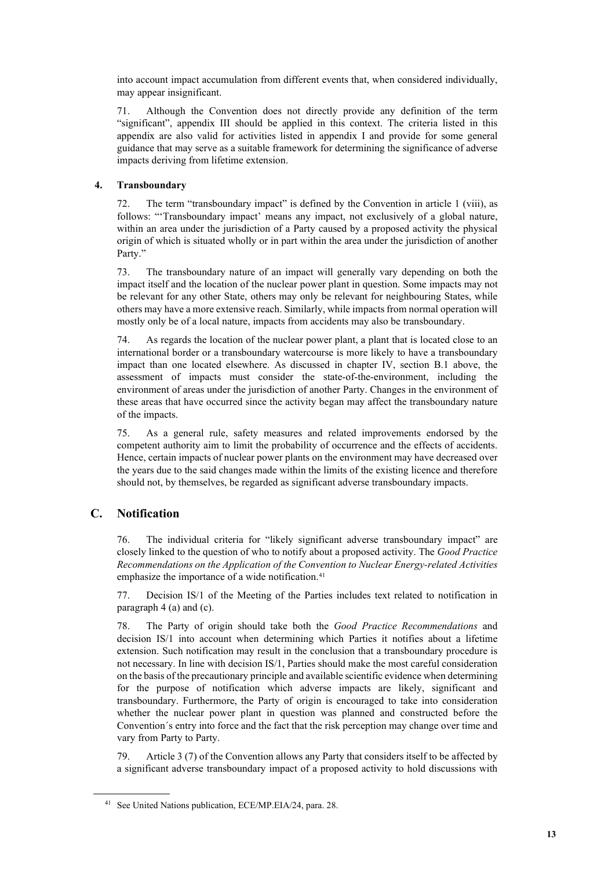into account impact accumulation from different events that, when considered individually, may appear insignificant.

71. Although the Convention does not directly provide any definition of the term "significant", appendix III should be applied in this context. The criteria listed in this appendix are also valid for activities listed in appendix I and provide for some general guidance that may serve as a suitable framework for determining the significance of adverse impacts deriving from lifetime extension.

## **4. Transboundary**

72. The term "transboundary impact" is defined by the Convention in article 1 (viii), as follows: "'Transboundary impact' means any impact, not exclusively of a global nature, within an area under the jurisdiction of a Party caused by a proposed activity the physical origin of which is situated wholly or in part within the area under the jurisdiction of another Party."

73. The transboundary nature of an impact will generally vary depending on both the impact itself and the location of the nuclear power plant in question. Some impacts may not be relevant for any other State, others may only be relevant for neighbouring States, while others may have a more extensive reach. Similarly, while impacts from normal operation will mostly only be of a local nature, impacts from accidents may also be transboundary.

74. As regards the location of the nuclear power plant, a plant that is located close to an international border or a transboundary watercourse is more likely to have a transboundary impact than one located elsewhere. As discussed in chapter IV, section B.1 above, the assessment of impacts must consider the state-of-the-environment, including the environment of areas under the jurisdiction of another Party. Changes in the environment of these areas that have occurred since the activity began may affect the transboundary nature of the impacts.

75. As a general rule, safety measures and related improvements endorsed by the competent authority aim to limit the probability of occurrence and the effects of accidents. Hence, certain impacts of nuclear power plants on the environment may have decreased over the years due to the said changes made within the limits of the existing licence and therefore should not, by themselves, be regarded as significant adverse transboundary impacts.

## **C. Notification**

76. The individual criteria for "likely significant adverse transboundary impact" are closely linked to the question of who to notify about a proposed activity. The *Good Practice Recommendations on the Application of the Convention to Nuclear Energy-related Activities* emphasize the importance of a wide notification.<sup>[41](#page-12-0)</sup>

77. Decision IS/1 of the Meeting of the Parties includes text related to notification in paragraph 4 (a) and (c).

78. The Party of origin should take both the *Good Practice Recommendations* and decision IS/1 into account when determining which Parties it notifies about a lifetime extension. Such notification may result in the conclusion that a transboundary procedure is not necessary. In line with decision IS/1, Parties should make the most careful consideration on the basis of the precautionary principle and available scientific evidence when determining for the purpose of notification which adverse impacts are likely, significant and transboundary. Furthermore, the Party of origin is encouraged to take into consideration whether the nuclear power plant in question was planned and constructed before the Convention´s entry into force and the fact that the risk perception may change over time and vary from Party to Party.

79. Article 3 (7) of the Convention allows any Party that considers itself to be affected by a significant adverse transboundary impact of a proposed activity to hold discussions with

<span id="page-12-0"></span><sup>41</sup> See United Nations publication, ECE/MP.EIA/24, para. 28.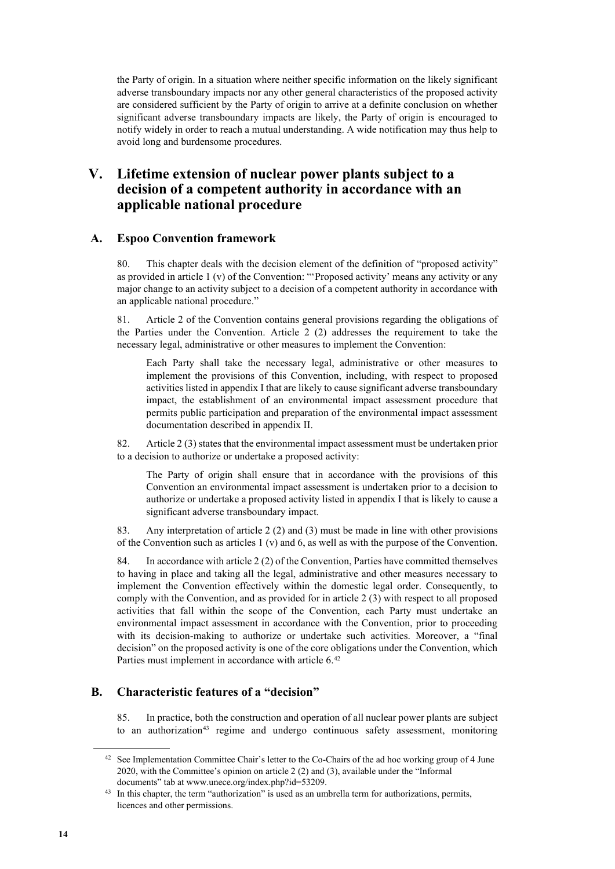the Party of origin. In a situation where neither specific information on the likely significant adverse transboundary impacts nor any other general characteristics of the proposed activity are considered sufficient by the Party of origin to arrive at a definite conclusion on whether significant adverse transboundary impacts are likely, the Party of origin is encouraged to notify widely in order to reach a mutual understanding. A wide notification may thus help to avoid long and burdensome procedures.

## **V. Lifetime extension of nuclear power plants subject to a decision of a competent authority in accordance with an applicable national procedure**

## **A. Espoo Convention framework**

80. This chapter deals with the decision element of the definition of "proposed activity" as provided in article 1 (v) of the Convention: "'Proposed activity' means any activity or any major change to an activity subject to a decision of a competent authority in accordance with an applicable national procedure."

81. Article 2 of the Convention contains general provisions regarding the obligations of the Parties under the Convention. Article 2 (2) addresses the requirement to take the necessary legal, administrative or other measures to implement the Convention:

Each Party shall take the necessary legal, administrative or other measures to implement the provisions of this Convention, including, with respect to proposed activities listed in appendix I that are likely to cause significant adverse transboundary impact, the establishment of an environmental impact assessment procedure that permits public participation and preparation of the environmental impact assessment documentation described in appendix II.

82. Article 2 (3) states that the environmental impact assessment must be undertaken prior to a decision to authorize or undertake a proposed activity:

The Party of origin shall ensure that in accordance with the provisions of this Convention an environmental impact assessment is undertaken prior to a decision to authorize or undertake a proposed activity listed in appendix I that is likely to cause a significant adverse transboundary impact.

83. Any interpretation of article 2 (2) and (3) must be made in line with other provisions of the Convention such as articles  $1 (v)$  and 6, as well as with the purpose of the Convention.

84. In accordance with article 2 (2) of the Convention, Parties have committed themselves to having in place and taking all the legal, administrative and other measures necessary to implement the Convention effectively within the domestic legal order. Consequently, to comply with the Convention, and as provided for in article 2 (3) with respect to all proposed activities that fall within the scope of the Convention, each Party must undertake an environmental impact assessment in accordance with the Convention, prior to proceeding with its decision-making to authorize or undertake such activities. Moreover, a "final decision" on the proposed activity is one of the core obligations under the Convention, which Parties must implement in accordance with article 6.<sup>[42](#page-13-0)</sup>

## **B. Characteristic features of a "decision"**

85. In practice, both the construction and operation of all nuclear power plants are subject to an authorization[43](#page-13-1) regime and undergo continuous safety assessment, monitoring

<span id="page-13-0"></span><sup>&</sup>lt;sup>42</sup> See Implementation Committee Chair's letter to the Co-Chairs of the ad hoc working group of 4 June 2020, with the Committee's opinion on article 2 (2) and (3), available under the "Informal documents" tab at www.unece.org/index.php?id=53209.

<span id="page-13-1"></span><sup>&</sup>lt;sup>43</sup> In this chapter, the term "authorization" is used as an umbrella term for authorizations, permits, licences and other permissions.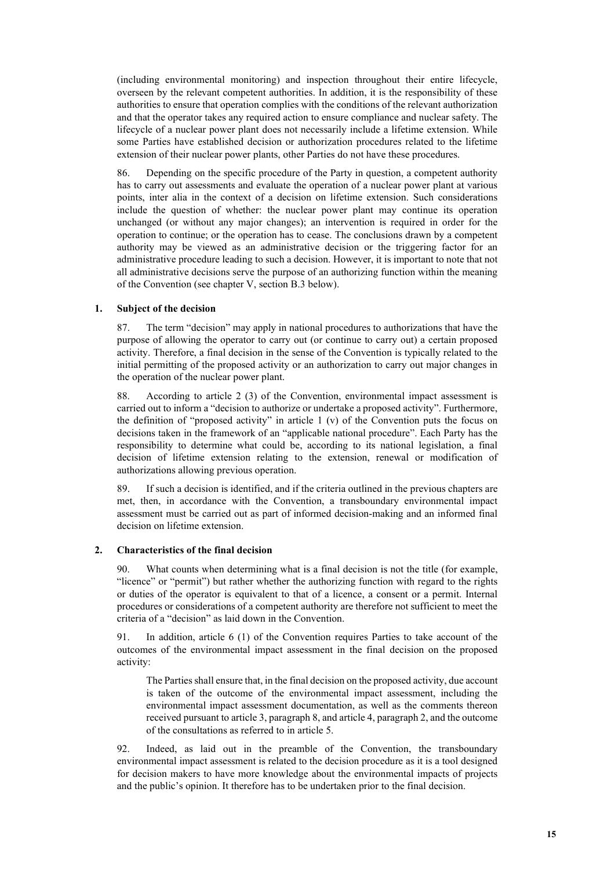(including environmental monitoring) and inspection throughout their entire lifecycle, overseen by the relevant competent authorities. In addition, it is the responsibility of these authorities to ensure that operation complies with the conditions of the relevant authorization and that the operator takes any required action to ensure compliance and nuclear safety. The lifecycle of a nuclear power plant does not necessarily include a lifetime extension. While some Parties have established decision or authorization procedures related to the lifetime extension of their nuclear power plants, other Parties do not have these procedures.

86. Depending on the specific procedure of the Party in question, a competent authority has to carry out assessments and evaluate the operation of a nuclear power plant at various points, inter alia in the context of a decision on lifetime extension. Such considerations include the question of whether: the nuclear power plant may continue its operation unchanged (or without any major changes); an intervention is required in order for the operation to continue; or the operation has to cease. The conclusions drawn by a competent authority may be viewed as an administrative decision or the triggering factor for an administrative procedure leading to such a decision. However, it is important to note that not all administrative decisions serve the purpose of an authorizing function within the meaning of the Convention (see chapter V, section B.3 below).

#### **1. Subject of the decision**

87. The term "decision" may apply in national procedures to authorizations that have the purpose of allowing the operator to carry out (or continue to carry out) a certain proposed activity. Therefore, a final decision in the sense of the Convention is typically related to the initial permitting of the proposed activity or an authorization to carry out major changes in the operation of the nuclear power plant.

88. According to article 2 (3) of the Convention, environmental impact assessment is carried out to inform a "decision to authorize or undertake a proposed activity". Furthermore, the definition of "proposed activity" in article 1 (v) of the Convention puts the focus on decisions taken in the framework of an "applicable national procedure". Each Party has the responsibility to determine what could be, according to its national legislation, a final decision of lifetime extension relating to the extension, renewal or modification of authorizations allowing previous operation.

89. If such a decision is identified, and if the criteria outlined in the previous chapters are met, then, in accordance with the Convention, a transboundary environmental impact assessment must be carried out as part of informed decision-making and an informed final decision on lifetime extension.

#### **2. Characteristics of the final decision**

90. What counts when determining what is a final decision is not the title (for example, "licence" or "permit") but rather whether the authorizing function with regard to the rights or duties of the operator is equivalent to that of a licence, a consent or a permit. Internal procedures or considerations of a competent authority are therefore not sufficient to meet the criteria of a "decision" as laid down in the Convention.

91. In addition, article 6 (1) of the Convention requires Parties to take account of the outcomes of the environmental impact assessment in the final decision on the proposed activity:

The Parties shall ensure that, in the final decision on the proposed activity, due account is taken of the outcome of the environmental impact assessment, including the environmental impact assessment documentation, as well as the comments thereon received pursuant to article 3, paragraph 8, and article 4, paragraph 2, and the outcome of the consultations as referred to in article 5.

92. Indeed, as laid out in the preamble of the Convention, the transboundary environmental impact assessment is related to the decision procedure as it is a tool designed for decision makers to have more knowledge about the environmental impacts of projects and the public's opinion. It therefore has to be undertaken prior to the final decision.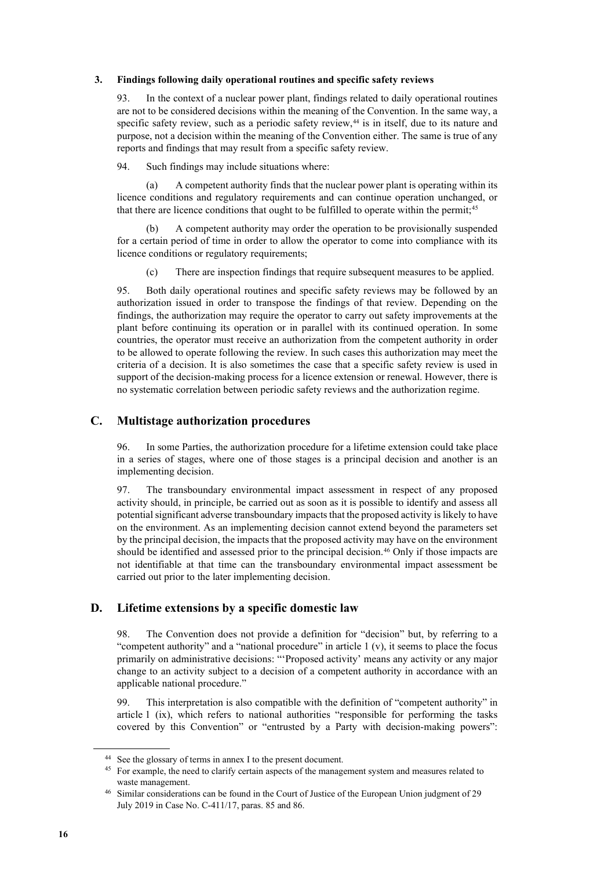#### **3. Findings following daily operational routines and specific safety reviews**

93. In the context of a nuclear power plant, findings related to daily operational routines are not to be considered decisions within the meaning of the Convention. In the same way, a specific safety review, such as a periodic safety review,<sup>[44](#page-15-0)</sup> is in itself, due to its nature and purpose, not a decision within the meaning of the Convention either. The same is true of any reports and findings that may result from a specific safety review.

94. Such findings may include situations where:

(a) A competent authority finds that the nuclear power plant is operating within its licence conditions and regulatory requirements and can continue operation unchanged, or that there are licence conditions that ought to be fulfilled to operate within the permit;<sup>[45](#page-15-1)</sup>

(b) A competent authority may order the operation to be provisionally suspended for a certain period of time in order to allow the operator to come into compliance with its licence conditions or regulatory requirements;

(c) There are inspection findings that require subsequent measures to be applied.

95. Both daily operational routines and specific safety reviews may be followed by an authorization issued in order to transpose the findings of that review. Depending on the findings, the authorization may require the operator to carry out safety improvements at the plant before continuing its operation or in parallel with its continued operation. In some countries, the operator must receive an authorization from the competent authority in order to be allowed to operate following the review. In such cases this authorization may meet the criteria of a decision. It is also sometimes the case that a specific safety review is used in support of the decision-making process for a licence extension or renewal. However, there is no systematic correlation between periodic safety reviews and the authorization regime.

### **C. Multistage authorization procedures**

96. In some Parties, the authorization procedure for a lifetime extension could take place in a series of stages, where one of those stages is a principal decision and another is an implementing decision.

97. The transboundary environmental impact assessment in respect of any proposed activity should, in principle, be carried out as soon as it is possible to identify and assess all potential significant adverse transboundary impacts that the proposed activity is likely to have on the environment. As an implementing decision cannot extend beyond the parameters set by the principal decision, the impacts that the proposed activity may have on the environment should be identified and assessed prior to the principal decision.<sup>[46](#page-15-2)</sup> Only if those impacts are not identifiable at that time can the transboundary environmental impact assessment be carried out prior to the later implementing decision.

## **D. Lifetime extensions by a specific domestic law**

98. The Convention does not provide a definition for "decision" but, by referring to a "competent authority" and a "national procedure" in article 1 (v), it seems to place the focus primarily on administrative decisions: "'Proposed activity' means any activity or any major change to an activity subject to a decision of a competent authority in accordance with an applicable national procedure."

99. This interpretation is also compatible with the definition of "competent authority" in article 1 (ix), which refers to national authorities "responsible for performing the tasks covered by this Convention" or "entrusted by a Party with decision-making powers":

<span id="page-15-0"></span><sup>44</sup> See the glossary of terms in annex I to the present document.

<span id="page-15-1"></span><sup>&</sup>lt;sup>45</sup> For example, the need to clarify certain aspects of the management system and measures related to waste management.

<span id="page-15-2"></span><sup>46</sup> Similar considerations can be found in the Court of Justice of the European Union judgment of 29 July 2019 in Case No. C-411/17, paras. 85 and 86.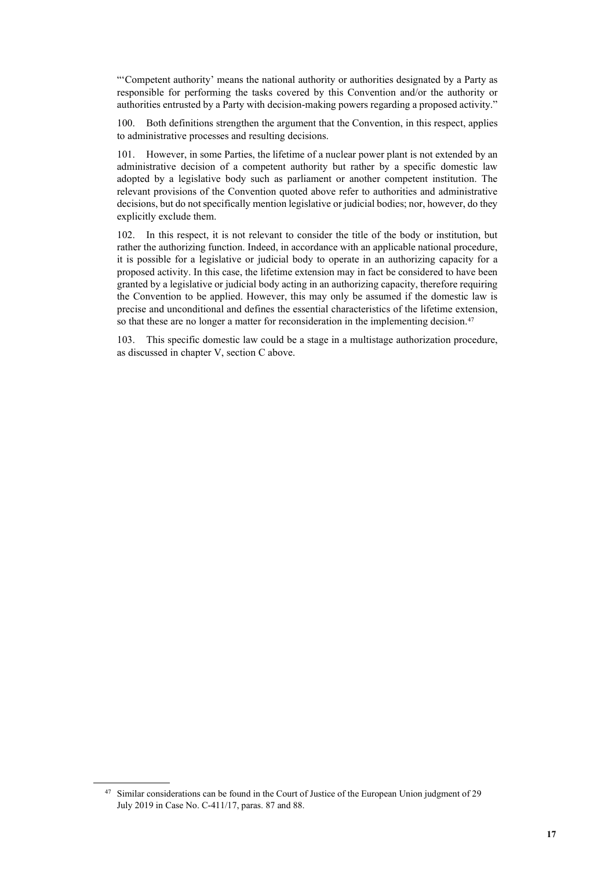"'Competent authority' means the national authority or authorities designated by a Party as responsible for performing the tasks covered by this Convention and/or the authority or authorities entrusted by a Party with decision-making powers regarding a proposed activity."

100. Both definitions strengthen the argument that the Convention, in this respect, applies to administrative processes and resulting decisions.

101. However, in some Parties, the lifetime of a nuclear power plant is not extended by an administrative decision of a competent authority but rather by a specific domestic law adopted by a legislative body such as parliament or another competent institution. The relevant provisions of the Convention quoted above refer to authorities and administrative decisions, but do not specifically mention legislative or judicial bodies; nor, however, do they explicitly exclude them.

102. In this respect, it is not relevant to consider the title of the body or institution, but rather the authorizing function. Indeed, in accordance with an applicable national procedure, it is possible for a legislative or judicial body to operate in an authorizing capacity for a proposed activity. In this case, the lifetime extension may in fact be considered to have been granted by a legislative or judicial body acting in an authorizing capacity, therefore requiring the Convention to be applied. However, this may only be assumed if the domestic law is precise and unconditional and defines the essential characteristics of the lifetime extension, so that these are no longer a matter for reconsideration in the implementing decision.<sup>[47](#page-16-0)</sup>

103. This specific domestic law could be a stage in a multistage authorization procedure, as discussed in chapter V, section C above.

<span id="page-16-0"></span><sup>&</sup>lt;sup>47</sup> Similar considerations can be found in the Court of Justice of the European Union judgment of 29 July 2019 in Case No. C-411/17, paras. 87 and 88.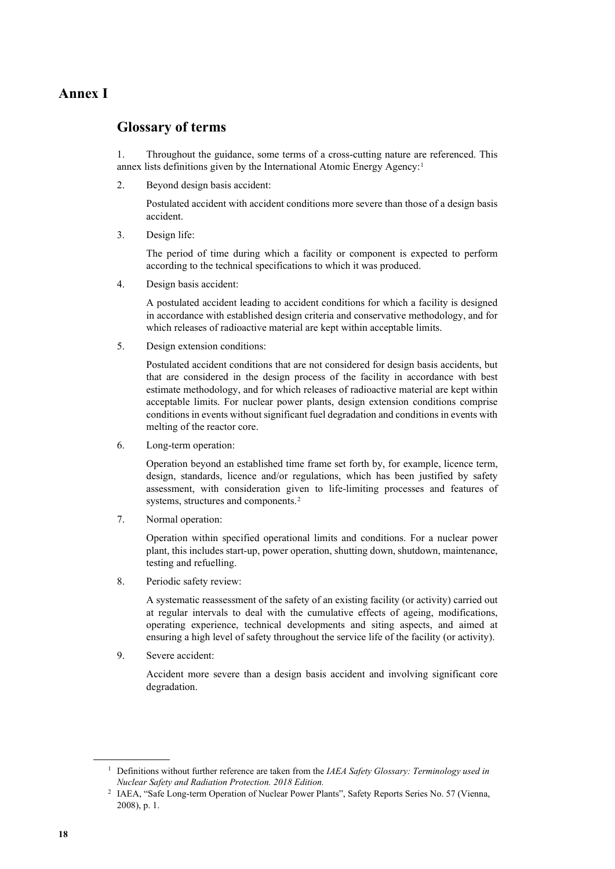# **Annex I**

## **Glossary of terms**

1. Throughout the guidance, some terms of a cross-cutting nature are referenced. This annex lists definitions given by the International Atomic Energy Agency:[1](#page-17-0)

2. Beyond design basis accident:

Postulated accident with accident conditions more severe than those of a design basis accident.

3. Design life:

The period of time during which a facility or component is expected to perform according to the technical specifications to which it was produced.

4. Design basis accident:

A postulated accident leading to accident conditions for which a facility is designed in accordance with established design criteria and conservative methodology, and for which releases of radioactive material are kept within acceptable limits.

5. Design extension conditions:

Postulated accident conditions that are not considered for design basis accidents, but that are considered in the design process of the facility in accordance with best estimate methodology, and for which releases of radioactive material are kept within acceptable limits. For nuclear power plants, design extension conditions comprise conditions in events without significant fuel degradation and conditions in events with melting of the reactor core.

6. Long-term operation:

Operation beyond an established time frame set forth by, for example, licence term, design, standards, licence and/or regulations, which has been justified by safety assessment, with consideration given to life-limiting processes and features of systems, structures and components.[2](#page-17-1)

7. Normal operation:

Operation within specified operational limits and conditions. For a nuclear power plant, this includes start-up, power operation, shutting down, shutdown, maintenance, testing and refuelling.

8. Periodic safety review:

A systematic reassessment of the safety of an existing facility (or activity) carried out at regular intervals to deal with the cumulative effects of ageing, modifications, operating experience, technical developments and siting aspects, and aimed at ensuring a high level of safety throughout the service life of the facility (or activity).

9. Severe accident:

Accident more severe than a design basis accident and involving significant core degradation.

<span id="page-17-1"></span><span id="page-17-0"></span><sup>1</sup> Definitions without further reference are taken from the *IAEA Safety Glossary: Terminology used in Nuclear Safety and Radiation Protection. 2018 Edition.* 2 IAEA, "Safe Long-term Operation of Nuclear Power Plants", Safety Reports Series No. 57 (Vienna,

<sup>2008),</sup> p. 1.